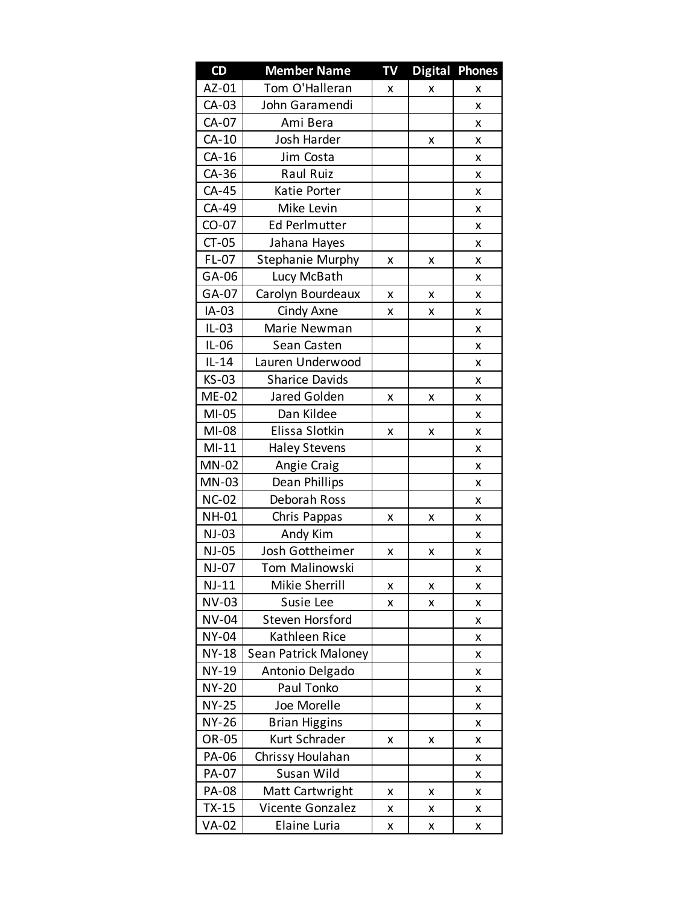| CD           | <b>Member Name</b>      | TV | <b>Digital</b> | <b>Phones</b> |
|--------------|-------------------------|----|----------------|---------------|
| AZ-01        | Tom O'Halleran          | x  | x              | x             |
| CA-03        | John Garamendi          |    |                | x             |
| CA-07        | Ami Bera                |    |                | x             |
| $CA-10$      | Josh Harder             |    | x              | x             |
| $CA-16$      | Jim Costa               |    |                | x             |
| CA-36        | Raul Ruiz               |    |                | x             |
| CA-45        | Katie Porter            |    |                | x             |
| CA-49        | Mike Levin              |    |                | x             |
| $CO-07$      | <b>Ed Perlmutter</b>    |    |                | x             |
| $CT-05$      | Jahana Hayes            |    |                | x             |
| $FL-07$      | <b>Stephanie Murphy</b> | x  | x              | x             |
| GA-06        | Lucy McBath             |    |                | x             |
| GA-07        | Carolyn Bourdeaux       | x  | x              | x             |
| IA-03        | Cindy Axne              | x  | x              | x             |
| $IL-03$      | Marie Newman            |    |                | x             |
| $IL-06$      | Sean Casten             |    |                | x             |
| $IL-14$      | Lauren Underwood        |    |                | x             |
| <b>KS-03</b> | <b>Sharice Davids</b>   |    |                | x             |
| ME-02        | Jared Golden            | x  | x              | x             |
| $MI-05$      | Dan Kildee              |    |                | x             |
| MI-08        | Elissa Slotkin          | x  | x              | x             |
| $MI-11$      | <b>Haley Stevens</b>    |    |                | x             |
| <b>MN-02</b> | Angie Craig             |    |                | x             |
| MN-03        | Dean Phillips           |    |                | x             |
| <b>NC-02</b> | Deborah Ross            |    |                | x             |
| <b>NH-01</b> | Chris Pappas            | x  | x              | x             |
| $NJ-03$      | Andy Kim                |    |                | x             |
| NJ-05        | Josh Gottheimer         | x  | X              | X             |
| <b>NJ-07</b> | Tom Malinowski          |    |                | x             |
| $NJ-11$      | Mikie Sherrill          | x  | x              | X             |
| <b>NV-03</b> | Susie Lee               | x  | x              | x             |
| NV-04        | Steven Horsford         |    |                | x             |
| <b>NY-04</b> | Kathleen Rice           |    |                | x             |
| <b>NY-18</b> | Sean Patrick Maloney    |    |                | X             |
| NY-19        | Antonio Delgado         |    |                | x             |
| <b>NY-20</b> | Paul Tonko              |    |                | X             |
| <b>NY-25</b> | Joe Morelle             |    |                | x             |
| NY-26        | <b>Brian Higgins</b>    |    |                | X             |
| OR-05        | Kurt Schrader           | x  | x              | x             |
| PA-06        | Chrissy Houlahan        |    |                | X             |
| PA-07        | Susan Wild              |    |                | x             |
| <b>PA-08</b> | Matt Cartwright         | X  | X              | X             |
| $TX-15$      | Vicente Gonzalez        | x  | x              | x             |
| VA-02        | Elaine Luria            | X  | x              | x             |